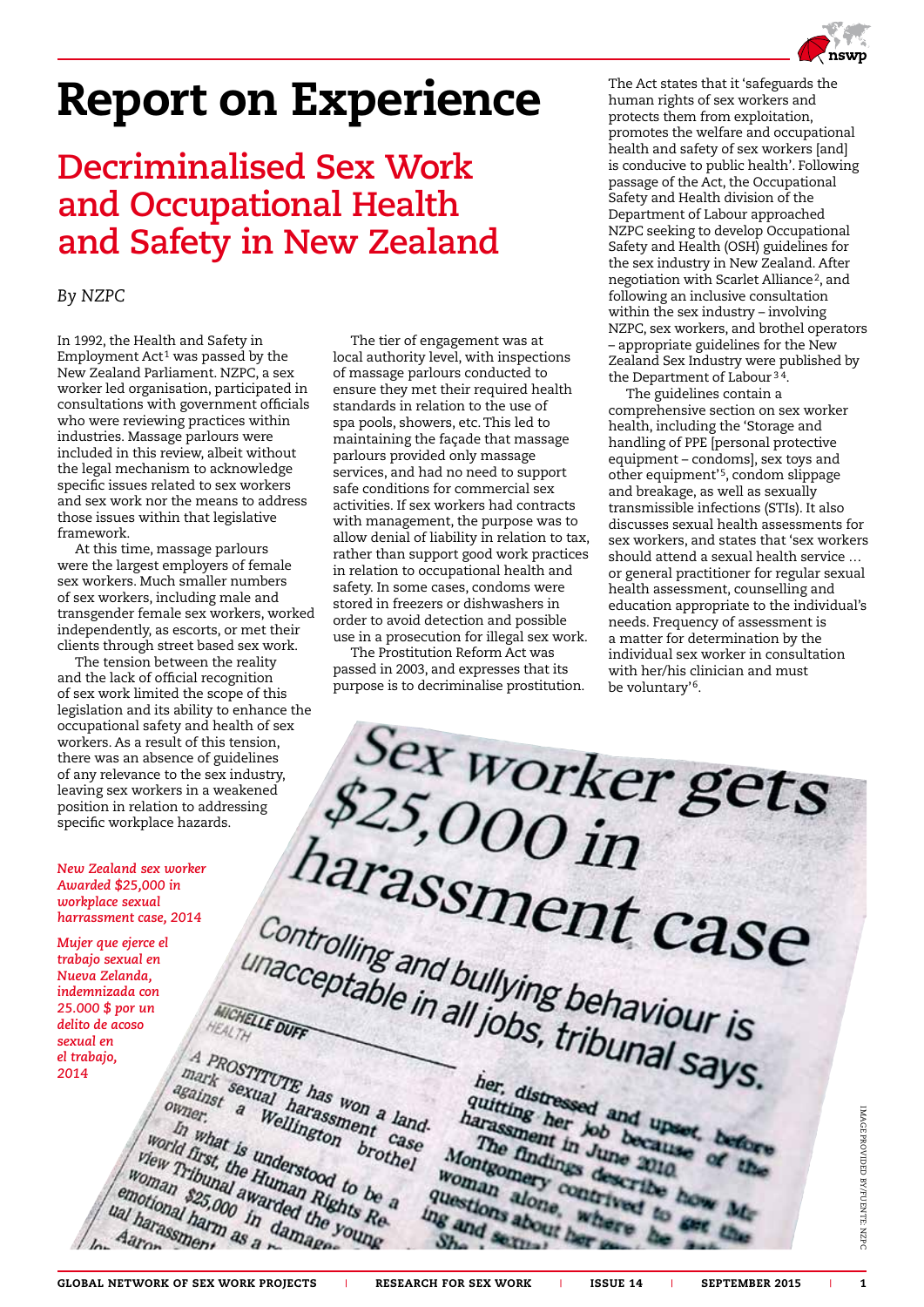# Report on Experience

### **Decriminalised Sex Work and Occupational Health and Safety in New Zealand**

### *By NZPC*

In 1992, the Health and Safety in Employment  $Act<sup>1</sup>$  was passed by the New Zealand Parliament. NZPC, a sex worker led organisation, participated in consultations with government officials who were reviewing practices within industries. Massage parlours were included in this review, albeit without the legal mechanism to acknowledge specific issues related to sex workers and sex work nor the means to address those issues within that legislative framework.

At this time, massage parlours were the largest employers of female sex workers. Much smaller numbers of sex workers, including male and transgender female sex workers, worked independently, as escorts, or met their clients through street based sex work.

The tension between the reality and the lack of official recognition of sex work limited the scope of this legislation and its ability to enhance the occupational safety and health of sex workers. As a result of this tension, there was an absence of guidelines of any relevance to the sex industry, leaving sex workers in a weakened position in relation to addressing specific workplace hazards.

*New Zealand sex worker Awarded \$25,000 in workplace sexual harrassment case, 2014*

*Mujer que ejerce el trabajo sexual en Nueva Zelanda, indemnizada con 25.000 \$ por un delito de acoso sexual en el trabajo, 2014*

The tier of engagement was at local authority level, with inspections of massage parlours conducted to ensure they met their required health standards in relation to the use of spa pools, showers, etc. This led to maintaining the façade that massage parlours provided only massage services, and had no need to support safe conditions for commercial sex activities. If sex workers had contracts with management, the purpose was to allow denial of liability in relation to tax, rather than support good work practices in relation to occupational health and safety. In some cases, condoms were stored in freezers or dishwashers in order to avoid detection and possible use in a prosecution for illegal sex work.

The Prostitution Reform Act was passed in 2003, and expresses that its purpose is to decriminalise prostitution. The Act states that it 'safeguards the human rights of sex workers and protects them from exploitation, promotes the welfare and occupational health and safety of sex workers [and] is conducive to public health'. Following passage of the Act, the Occupational Safety and Health division of the Department of Labour approached NZPC seeking to develop Occupational Safety and Health (OSH) guidelines for the sex industry in New Zealand. After negotiation with Scarlet Alliance<sup>2</sup>, and following an inclusive consultation within the sex industry – involving NZPC, sex workers, and brothel operators – appropriate guidelines for the New Zealand Sex Industry were published by the Department of Labour <sup>3</sup> 4.

The guidelines contain a comprehensive section on sex worker health, including the 'Storage and handling of PPE [personal protective equipment – condoms], sex toys and other equipment'5, condom slippage and breakage, as well as sexually transmissible infections (STIs). It also discusses sexual health assessments for sex workers, and states that 'sex workers should attend a sexual health service … or general practitioner for regular sexual health assessment, counselling and education appropriate to the individual's needs. Frequency of assessment is a matter for determination by the individual sex worker in consultation with her/his clinician and must be voluntary'6.

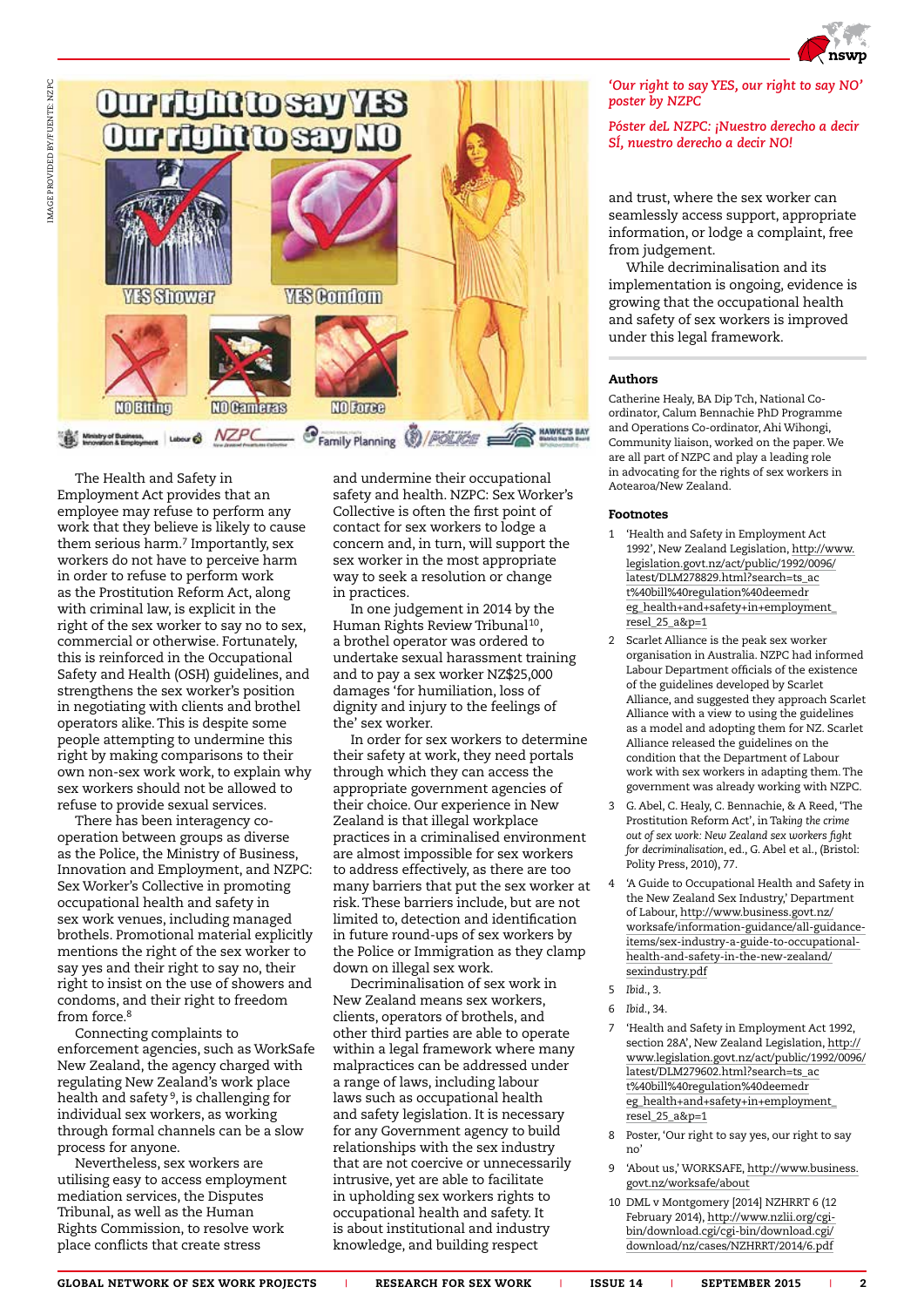



The Health and Safety in Employment Act provides that an employee may refuse to perform any work that they believe is likely to cause them serious harm.<sup>7</sup> Importantly, sex workers do not have to perceive harm in order to refuse to perform work as the Prostitution Reform Act, along with criminal law, is explicit in the right of the sex worker to say no to sex, commercial or otherwise. Fortunately, this is reinforced in the Occupational Safety and Health (OSH) guidelines, and strengthens the sex worker's position in negotiating with clients and brothel operators alike. This is despite some people attempting to undermine this right by making comparisons to their own non-sex work work, to explain why sex workers should not be allowed to refuse to provide sexual services.

There has been interagency cooperation between groups as diverse as the Police, the Ministry of Business, Innovation and Employment, and NZPC: Sex Worker's Collective in promoting occupational health and safety in sex work venues, including managed brothels. Promotional material explicitly mentions the right of the sex worker to say yes and their right to say no, their right to insist on the use of showers and condoms, and their right to freedom from force.8

Connecting complaints to enforcement agencies, such as WorkSafe New Zealand, the agency charged with regulating New Zealand's work place health and safety 9, is challenging for individual sex workers, as working through formal channels can be a slow process for anyone.

Nevertheless, sex workers are utilising easy to access employment mediation services, the Disputes Tribunal, as well as the Human Rights Commission, to resolve work place conflicts that create stress

and undermine their occupational safety and health. NZPC: Sex Worker's Collective is often the first point of contact for sex workers to lodge a concern and, in turn, will support the sex worker in the most appropriate way to seek a resolution or change in practices.

In one judgement in 2014 by the Human Rights Review Tribunal<sup>10</sup>, a brothel operator was ordered to undertake sexual harassment training and to pay a sex worker NZ\$25,000 damages 'for humiliation, loss of dignity and injury to the feelings of the' sex worker.

In order for sex workers to determine their safety at work, they need portals through which they can access the appropriate government agencies of their choice. Our experience in New Zealand is that illegal workplace practices in a criminalised environment are almost impossible for sex workers to address effectively, as there are too many barriers that put the sex worker at risk. These barriers include, but are not limited to, detection and identification in future round-ups of sex workers by the Police or Immigration as they clamp down on illegal sex work.

Decriminalisation of sex work in New Zealand means sex workers, clients, operators of brothels, and other third parties are able to operate within a legal framework where many malpractices can be addressed under a range of laws, including labour laws such as occupational health and safety legislation. It is necessary for any Government agency to build relationships with the sex industry that are not coercive or unnecessarily intrusive, yet are able to facilitate in upholding sex workers rights to occupational health and safety. It is about institutional and industry knowledge, and building respect

### *'Our right to say YES, our right to say NO' poster by NZPC*

### *Póster deL NZPC: ¡Nuestro derecho a decir SÍ, nuestro derecho a decir NO!*

and trust, where the sex worker can seamlessly access support, appropriate information, or lodge a complaint, free from judgement.

While decriminalisation and its implementation is ongoing, evidence is growing that the occupational health and safety of sex workers is improved under this legal framework.

### Authors

Catherine Healy, BA Dip Tch, National Coordinator, Calum Bennachie PhD Programme and Operations Co-ordinator, Ahi Wihongi, Community liaison, worked on the paper. We are all part of NZPC and play a leading role in advocating for the rights of sex workers in Aotearoa/New Zealand.

### Footnotes

- 1 'Health and Safety in Employment Act 1992', New Zealand Legislation, [http://www.](http://www.legislation.govt.nz/act/public/1992/0096/latest/DLM278829.html?search=ts_act%40bill%40regulation%40deemedreg_health+and+safety+in+employment_resel_25_a&p=1) [legislation.govt.nz/act/public/1992/0096/](http://www.legislation.govt.nz/act/public/1992/0096/latest/DLM278829.html?search=ts_act%40bill%40regulation%40deemedreg_health+and+safety+in+employment_resel_25_a&p=1) [latest/DLM278829.html?search=ts\\_ac](http://www.legislation.govt.nz/act/public/1992/0096/latest/DLM278829.html?search=ts_act%40bill%40regulation%40deemedreg_health+and+safety+in+employment_resel_25_a&p=1) [t%40bill%40regulation%40deemedr](http://www.legislation.govt.nz/act/public/1992/0096/latest/DLM278829.html?search=ts_act%40bill%40regulation%40deemedreg_health+and+safety+in+employment_resel_25_a&p=1) [eg\\_health+and+safety+in+employment\\_](http://www.legislation.govt.nz/act/public/1992/0096/latest/DLM278829.html?search=ts_act%40bill%40regulation%40deemedreg_health+and+safety+in+employment_resel_25_a&p=1) [resel\\_25\\_a&p=1](http://www.legislation.govt.nz/act/public/1992/0096/latest/DLM278829.html?search=ts_act%40bill%40regulation%40deemedreg_health+and+safety+in+employment_resel_25_a&p=1)
- 2 Scarlet Alliance is the peak sex worker organisation in Australia. NZPC had informed Labour Department officials of the existence of the guidelines developed by Scarlet Alliance, and suggested they approach Scarlet Alliance with a view to using the guidelines as a model and adopting them for NZ. Scarlet Alliance released the guidelines on the condition that the Department of Labour work with sex workers in adapting them. The government was already working with NZPC.
- 3 G. Abel, C. Healy, C. Bennachie, & A Reed, 'The Prostitution Reform Act', in Ta*king the crime out of sex work: New Zealand sex workers fight for decriminalisation*, ed., G. Abel et al., (Bristol: Polity Press, 2010), 77.
- 4 'A Guide to Occupational Health and Safety in the New Zealand Sex Industry,' Department of Labour, [http://www.business.govt.nz/](http://www.business.govt.nz/worksafe/information-guidance/all-guidance-items/sex-industry-a-guide-to-occupational-health-and-safety-in-the-new-zealand/sexindustry.pdf) [worksafe/information-guidance/all-guidance](http://www.business.govt.nz/worksafe/information-guidance/all-guidance-items/sex-industry-a-guide-to-occupational-health-and-safety-in-the-new-zealand/sexindustry.pdf)[items/sex-industry-a-guide-to-occupational](http://www.business.govt.nz/worksafe/information-guidance/all-guidance-items/sex-industry-a-guide-to-occupational-health-and-safety-in-the-new-zealand/sexindustry.pdf)[health-and-safety-in-the-new-zealand/](http://www.business.govt.nz/worksafe/information-guidance/all-guidance-items/sex-industry-a-guide-to-occupational-health-and-safety-in-the-new-zealand/sexindustry.pdf) [sexindustry.pdf](http://www.business.govt.nz/worksafe/information-guidance/all-guidance-items/sex-industry-a-guide-to-occupational-health-and-safety-in-the-new-zealand/sexindustry.pdf)
- 5 *Ibid*., 3.

- 7 'Health and Safety in Employment Act 1992, section 28A', New Zealand Legislation, [http://](http://www.legislation.govt.nz/act/public/1992/0096/latest/DLM279602.html?search=ts_act%40bill%40regulation%40deemedreg_health+and+safety+in+employment_resel_25_a&p=1) [www.legislation.govt.nz/act/public/1992/0096/](http://www.legislation.govt.nz/act/public/1992/0096/latest/DLM279602.html?search=ts_act%40bill%40regulation%40deemedreg_health+and+safety+in+employment_resel_25_a&p=1) [latest/DLM279602.html?search=ts\\_ac](http://www.legislation.govt.nz/act/public/1992/0096/latest/DLM279602.html?search=ts_act%40bill%40regulation%40deemedreg_health+and+safety+in+employment_resel_25_a&p=1) [t%40bill%40regulation%40deemedr](http://www.legislation.govt.nz/act/public/1992/0096/latest/DLM279602.html?search=ts_act%40bill%40regulation%40deemedreg_health+and+safety+in+employment_resel_25_a&p=1) [eg\\_health+and+safety+in+employment\\_](http://www.legislation.govt.nz/act/public/1992/0096/latest/DLM279602.html?search=ts_act%40bill%40regulation%40deemedreg_health+and+safety+in+employment_resel_25_a&p=1) [resel\\_25\\_a&p=1](http://www.legislation.govt.nz/act/public/1992/0096/latest/DLM279602.html?search=ts_act%40bill%40regulation%40deemedreg_health+and+safety+in+employment_resel_25_a&p=1)
- 8 Poster, 'Our right to say yes, our right to say no'
- 9 'About us,' WORKSAFE, [http://www.business.](http://www.business.govt.nz/worksafe/about) [govt.nz/worksafe/about](http://www.business.govt.nz/worksafe/about)
- 10 DML v Montgomery [2014] NZHRRT 6 (12 February 2014), [http://www.nzlii.org/cgi](http://www.nzlii.org/cgi-bin/download.cgi/cgi-bin/download.cgi/download/nz/cases/NZHRRT/2014/6.pdf)[bin/download.cgi/cgi-bin/download.cgi/](http://www.nzlii.org/cgi-bin/download.cgi/cgi-bin/download.cgi/download/nz/cases/NZHRRT/2014/6.pdf) [download/nz/cases/NZHRRT/2014/6.pdf](http://www.nzlii.org/cgi-bin/download.cgi/cgi-bin/download.cgi/download/nz/cases/NZHRRT/2014/6.pdf)

GLOBAL NETWORK OF SEX WORK PROJECTS | RESEARCH FOR SEX WORK | ISSUE 14 | SEPTEMBER 2015 | 2

<sup>6</sup> *Ibid*., 34.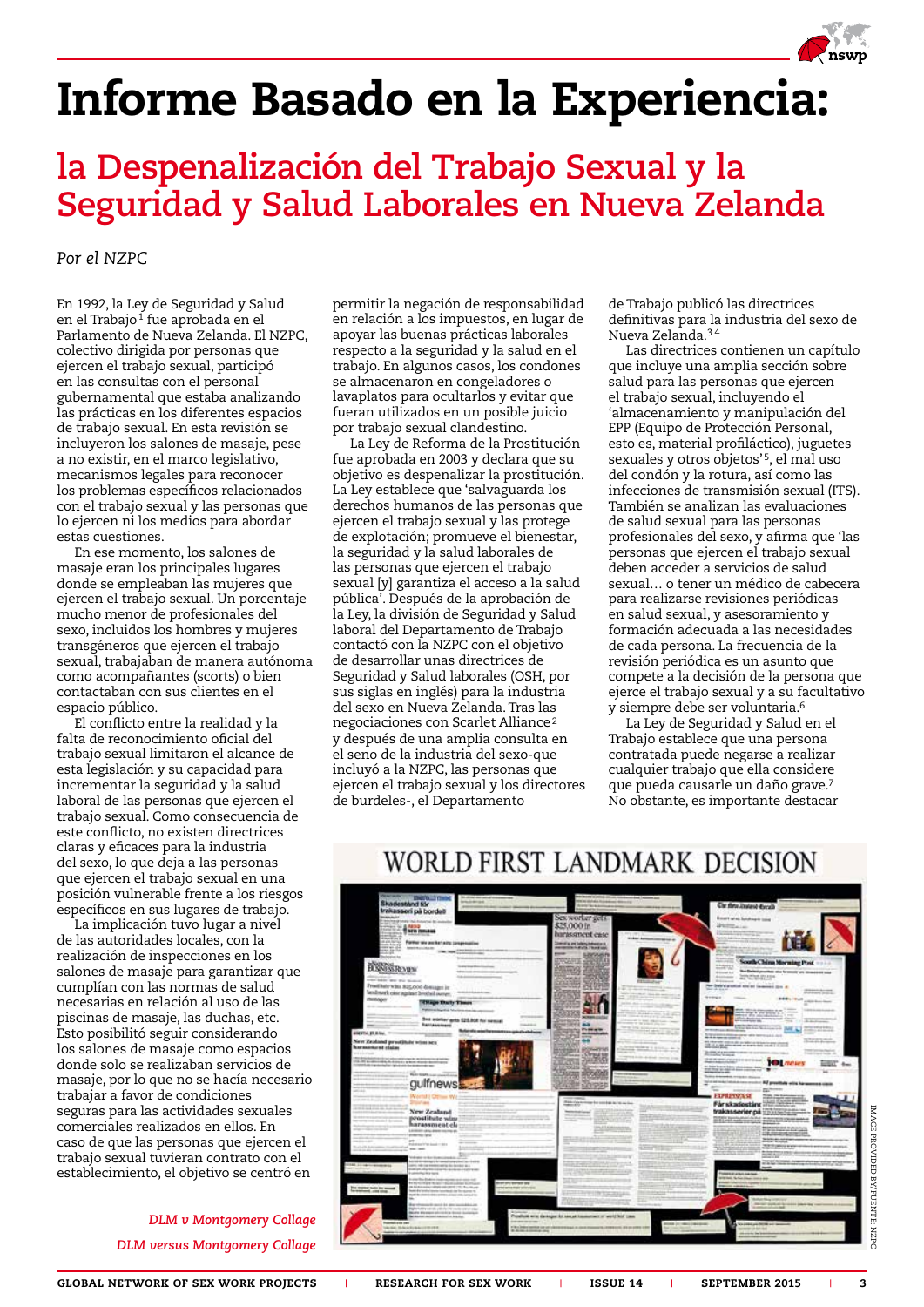## Informe Basado en la Experiencia:

## **la Despenalización del Trabajo Sexual y la Seguridad y Salud Laborales en Nueva Zelanda**

*Por el NZPC*

En 1992, la Ley de Seguridad y Salud en el Trabajo<sup>1</sup> fue aprobada en el Parlamento de Nueva Zelanda. El NZPC, colectivo dirigida por personas que ejercen el trabajo sexual, participó en las consultas con el personal gubernamental que estaba analizando las prácticas en los diferentes espacios de trabajo sexual. En esta revisión se incluyeron los salones de masaje, pese a no existir, en el marco legislativo, mecanismos legales para reconocer los problemas específicos relacionados con el trabajo sexual y las personas que lo ejercen ni los medios para abordar estas cuestiones.

En ese momento, los salones de masaje eran los principales lugares donde se empleaban las mujeres que ejercen el trabajo sexual. Un porcentaje mucho menor de profesionales del sexo, incluidos los hombres y mujeres transgéneros que ejercen el trabajo sexual, trabajaban de manera autónoma como acompañantes (scorts) o bien contactaban con sus clientes en el espacio público.

El conflicto entre la realidad y la falta de reconocimiento oficial del trabajo sexual limitaron el alcance de esta legislación y su capacidad para incrementar la seguridad y la salud laboral de las personas que ejercen el trabajo sexual. Como consecuencia de este conflicto, no existen directrices claras y eficaces para la industria del sexo, lo que deja a las personas que ejercen el trabajo sexual en una posición vulnerable frente a los riesgos específicos en sus lugares de trabajo.

La implicación tuvo lugar a nivel de las autoridades locales, con la realización de inspecciones en los salones de masaje para garantizar que cumplían con las normas de salud necesarias en relación al uso de las piscinas de masaje, las duchas, etc. Esto posibilitó seguir considerando los salones de masaje como espacios donde solo se realizaban servicios de masaje, por lo que no se hacía necesario trabajar a favor de condiciones seguras para las actividades sexuales comerciales realizados en ellos. En caso de que las personas que ejercen el trabajo sexual tuvieran contrato con el establecimiento, el objetivo se centró en

> *DLM v Montgomery Collage DLM versus Montgomery Collage*

permitir la negación de responsabilidad en relación a los impuestos, en lugar de apoyar las buenas prácticas laborales respecto a la seguridad y la salud en el trabajo. En algunos casos, los condones se almacenaron en congeladores o lavaplatos para ocultarlos y evitar que fueran utilizados en un posible juicio por trabajo sexual clandestino.

La Ley de Reforma de la Prostitución fue aprobada en 2003 y declara que su objetivo es despenalizar la prostitución. La Ley establece que 'salvaguarda los derechos humanos de las personas que ejercen el trabajo sexual y las protege de explotación; promueve el bienestar, la seguridad y la salud laborales de las personas que ejercen el trabajo sexual [y] garantiza el acceso a la salud pública'. Después de la aprobación de la Ley, la división de Seguridad y Salud laboral del Departamento de Trabajo contactó con la NZPC con el objetivo de desarrollar unas directrices de Seguridad y Salud laborales (OSH, por sus siglas en inglés) para la industria del sexo en Nueva Zelanda. Tras las negociaciones con Scarlet Alliance<sup>2</sup> y después de una amplia consulta en el seno de la industria del sexo-que incluyó a la NZPC, las personas que ejercen el trabajo sexual y los directores de burdeles-, el Departamento

de Trabajo publicó las directrices definitivas para la industria del sexo de Nueva Zelanda.3 4

Las directrices contienen un capítulo que incluye una amplia sección sobre salud para las personas que ejercen el trabajo sexual, incluyendo el 'almacenamiento y manipulación del EPP (Equipo de Protección Personal, esto es, material profiláctico), juguetes sexuales y otros objetos'5, el mal uso del condón y la rotura, así como las infecciones de transmisión sexual (ITS). También se analizan las evaluaciones de salud sexual para las personas profesionales del sexo, y afirma que 'las personas que ejercen el trabajo sexual deben acceder a servicios de salud sexual… o tener un médico de cabecera para realizarse revisiones periódicas en salud sexual, y asesoramiento y formación adecuada a las necesidades de cada persona. La frecuencia de la revisión periódica es un asunto que compete a la decisión de la persona que ejerce el trabajo sexual y a su facultativo y siempre debe ser voluntaria.6

La Ley de Seguridad y Salud en el Trabajo establece que una persona contratada puede negarse a realizar cualquier trabajo que ella considere que pueda causarle un daño grave.<sup>7</sup> No obstante, es importante destacar



### WORLD FIRST LANDMARK DECISION